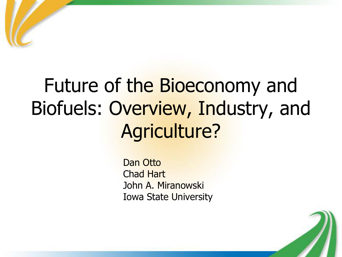## Future of the Bioeconomy and Biofuels: Overview, Industry, and Agriculture?

 Dan Otto Chad Hart John A. Miranowski Iowa State University

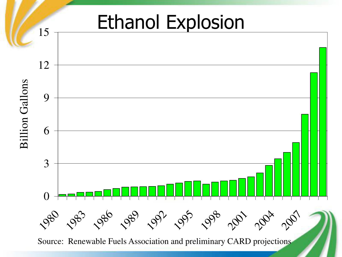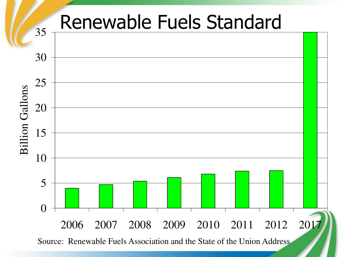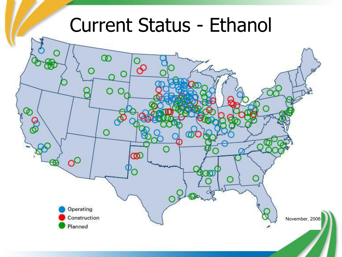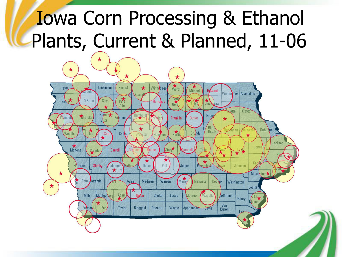## Iowa Corn Processing & Ethanol Plants, Current & Planned, 11-06

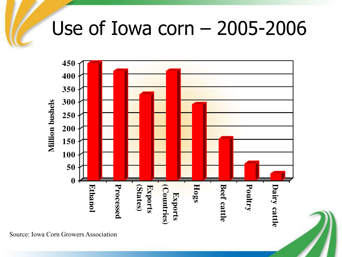### Use of Iowa corn – 2005-2006



Source: Iowa Corn Growers Association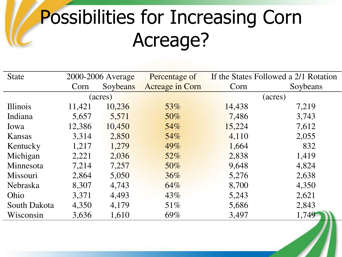## Possibilities for Increasing Corn Acreage?

| <b>State</b>    | 2000-2006 Average |          | Percentage of   | If the States Followed a 2/1 Rotation |          |
|-----------------|-------------------|----------|-----------------|---------------------------------------|----------|
|                 | Corn              | Soybeans | Acreage in Corn | Corn                                  | Soybeans |
|                 | (acres)           |          |                 | (acres)                               |          |
| Illinois        | 11,421            | 10,236   | 53%             | 14,438                                | 7,219    |
| Indiana         | 5,657             | 5,571    | 50%             | 7,486                                 | 3,743    |
| Iowa            | 12,386            | 10,450   | 54%             | 15,224                                | 7,612    |
| Kansas          | 3,314             | 2,850    | 54%             | 4,110                                 | 2,055    |
| Kentucky        | 1,217             | 1,279    | 49%             | 1,664                                 | 832      |
| Michigan        | 2,221             | 2,036    | $52\%$          | 2,838                                 | 1,419    |
| Minnesota       | 7,214             | 7,257    | 50%             | 9,648                                 | 4,824    |
| Missouri        | 2,864             | 5,050    | $36\%$          | 5,276                                 | 2,638    |
| <b>Nebraska</b> | 8,307             | 4,743    | 64%             | 8,700                                 | 4,350    |
| Ohio            | 3,371             | 4,493    | 43%             | 5,243                                 | 2,621    |
| South Dakota    | 4,350             | 4,179    | $51\%$          | 5,686                                 | 2,843    |
| Wisconsin       | 3,636             | 1,610    | 69%             | 3,497                                 | 1,749    |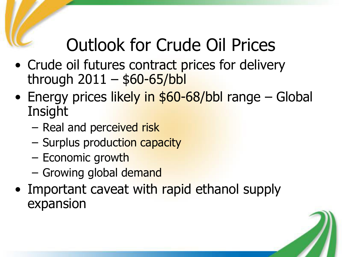#### Outlook for Crude Oil Prices

- Crude oil futures contract prices for delivery through  $2011 - $60 - 65/b$ bl
- Energy prices likely in \$60-68/bbl range Global **Insight** 
	- Real and perceived risk
	- Surplus production capacity
	- Economic growth
	- Growing global demand
- Important caveat with rapid ethanol supply expansion

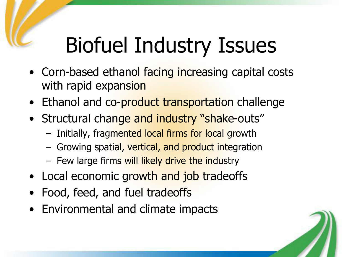# Biofuel Industry Issues

- Corn-based ethanol facing increasing capital costs with rapid expansion
- Ethanol and co-product transportation challenge
- Structural change and industry "shake-outs"
	- Initially, fragmented local firms for local growth
	- Growing spatial, vertical, and product integration
	- Few large firms will likely drive the industry
- Local economic growth and job tradeoffs
- Food, feed, and fuel tradeoffs
- Environmental and climate impacts

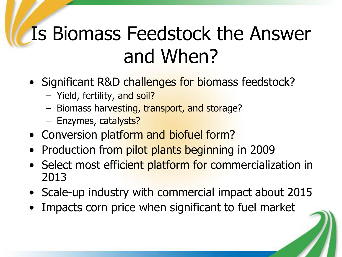## Is Biomass Feedstock the Answer and When?

- Significant R&D challenges for biomass feedstock?
	- Yield, fertility, and soil?
	- Biomass harvesting, transport, and storage?
	- Enzymes, catalysts?
- Conversion platform and biofuel form?
- Production from pilot plants beginning in 2009
- Select most efficient platform for commercialization in 2013
- Scale-up industry with commercial impact about 2015
- Impacts corn price when significant to fuel market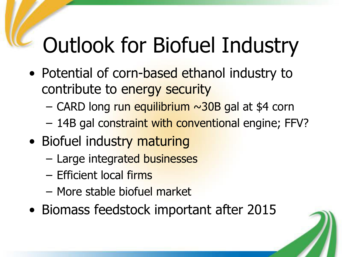# Outlook for Biofuel Industry

- Potential of corn-based ethanol industry to contribute to energy security
	- $-$  CARD long run equilibrium  $\sim$ 30B gal at \$4 corn
	- 14B gal constraint with conventional engine; FFV?
- Biofuel industry maturing
	- Large integrated businesses
	- Efficient local firms
	- More stable biofuel market
- Biomass feedstock important after 2015